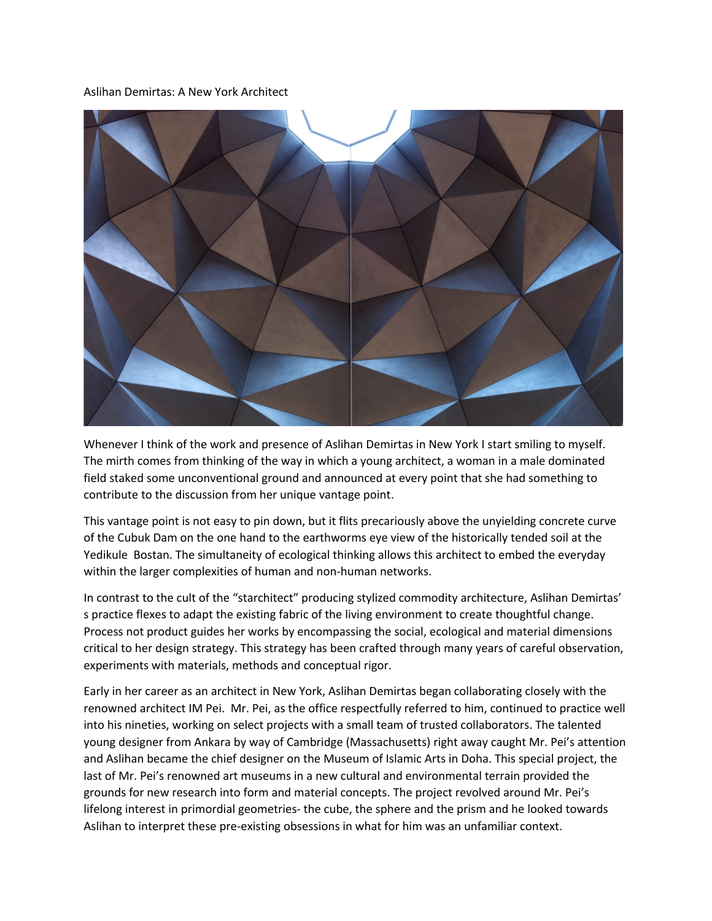## Aslihan Demirtas: A New York Architect



Whenever I think of the work and presence of Aslihan Demirtas in New York I start smiling to myself. The mirth comes from thinking of the way in which a young architect, a woman in a male dominated field staked some unconventional ground and announced at every point that she had something to contribute to the discussion from her unique vantage point.

This vantage point is not easy to pin down, but it flits precariously above the unyielding concrete curve of the Cubuk Dam on the one hand to the earthworms eye view of the historically tended soil at the Yedikule Bostan. The simultaneity of ecological thinking allows this architect to embed the everyday within the larger complexities of human and non-human networks.

In contrast to the cult of the "starchitect" producing stylized commodity architecture, Aslihan Demirtas' s practice flexes to adapt the existing fabric of the living environment to create thoughtful change. Process not product guides her works by encompassing the social, ecological and material dimensions critical to her design strategy. This strategy has been crafted through many years of careful observation, experiments with materials, methods and conceptual rigor.

Early in her career as an architect in New York, Aslihan Demirtas began collaborating closely with the renowned architect IM Pei. Mr. Pei, as the office respectfully referred to him, continued to practice well into his nineties, working on select projects with a small team of trusted collaborators. The talented young designer from Ankara by way of Cambridge (Massachusetts) right away caught Mr. Pei's attention and Aslihan became the chief designer on the Museum of Islamic Arts in Doha. This special project, the last of Mr. Pei's renowned art museums in a new cultural and environmental terrain provided the grounds for new research into form and material concepts. The project revolved around Mr. Pei's lifelong interest in primordial geometries- the cube, the sphere and the prism and he looked towards Aslihan to interpret these pre-existing obsessions in what for him was an unfamiliar context.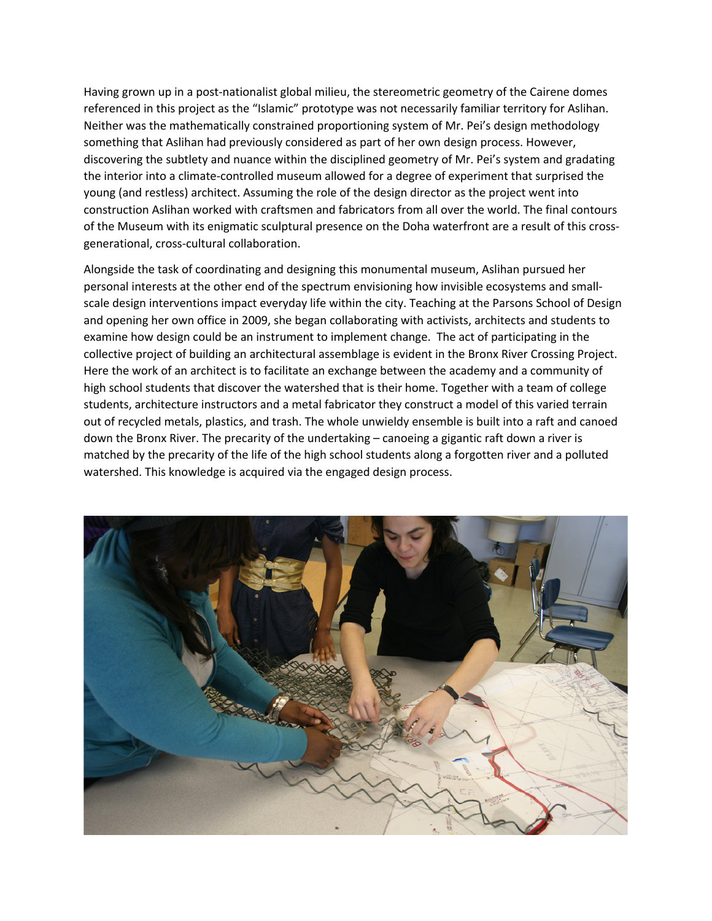Having grown up in a post-nationalist global milieu, the stereometric geometry of the Cairene domes referenced in this project as the "Islamic" prototype was not necessarily familiar territory for Aslihan. Neither was the mathematically constrained proportioning system of Mr. Pei's design methodology something that Aslihan had previously considered as part of her own design process. However, discovering the subtlety and nuance within the disciplined geometry of Mr. Pei's system and gradating the interior into a climate-controlled museum allowed for a degree of experiment that surprised the young (and restless) architect. Assuming the role of the design director as the project went into construction Aslihan worked with craftsmen and fabricators from all over the world. The final contours of the Museum with its enigmatic sculptural presence on the Doha waterfront are a result of this crossgenerational, cross-cultural collaboration.

Alongside the task of coordinating and designing this monumental museum, Aslihan pursued her personal interests at the other end of the spectrum envisioning how invisible ecosystems and smallscale design interventions impact everyday life within the city. Teaching at the Parsons School of Design and opening her own office in 2009, she began collaborating with activists, architects and students to examine how design could be an instrument to implement change. The act of participating in the collective project of building an architectural assemblage is evident in the Bronx River Crossing Project. Here the work of an architect is to facilitate an exchange between the academy and a community of high school students that discover the watershed that is their home. Together with a team of college students, architecture instructors and a metal fabricator they construct a model of this varied terrain out of recycled metals, plastics, and trash. The whole unwieldy ensemble is built into a raft and canoed down the Bronx River. The precarity of the undertaking – canoeing a gigantic raft down a river is matched by the precarity of the life of the high school students along a forgotten river and a polluted watershed. This knowledge is acquired via the engaged design process.